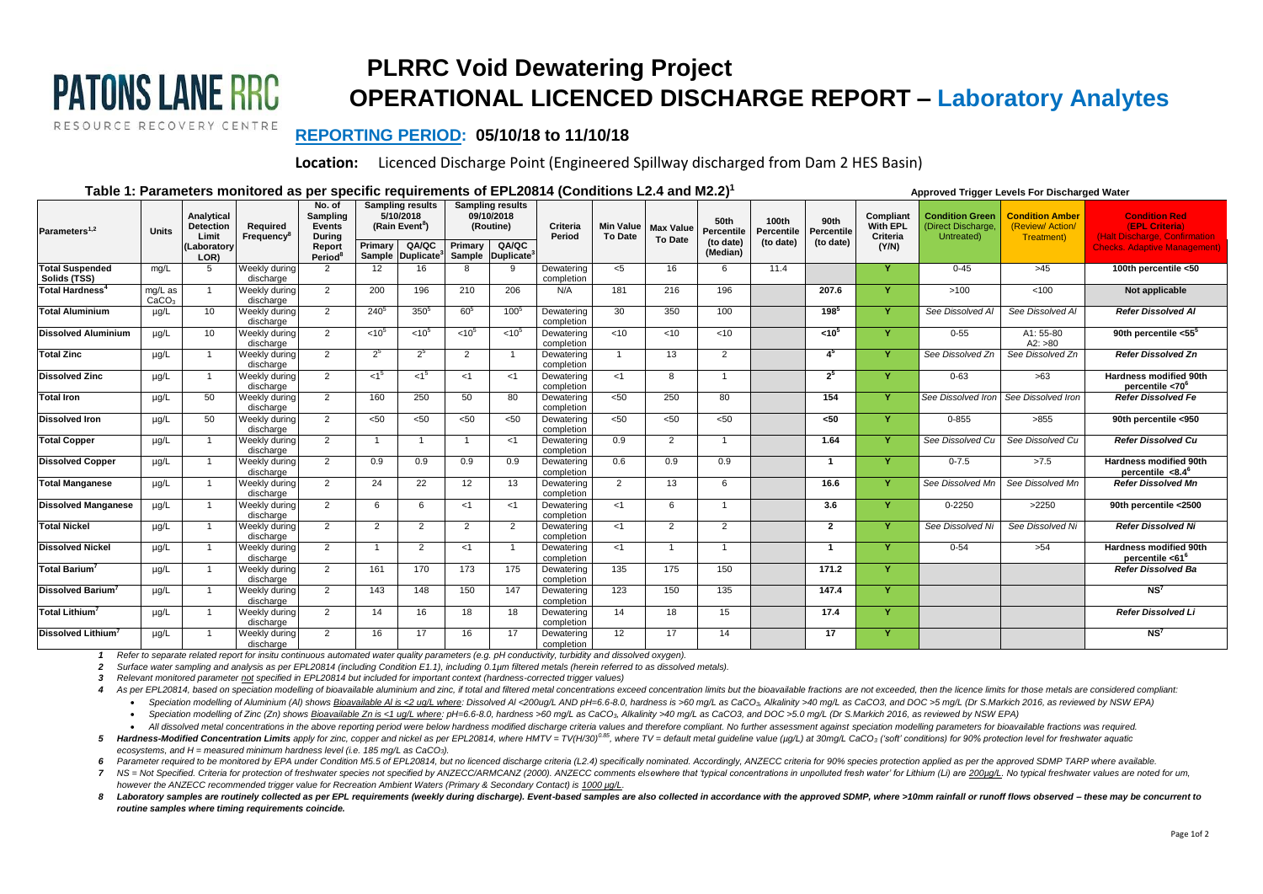## **PLRRC Void Dewatering Project OPERATIONAL LICENCED DISCHARGE REPORT – Laboratory Analytes**

 **Approved Trigger Levels For Discharged Water**

## **REPORTING PERIOD: 05/10/18 to 11/10/18**

**Location:** Licenced Discharge Point (Engineered Spillway discharged from Dam 2 HES Basin)

## **Table 1: Parameters monitored as per specific requirements of EPL20814 (Conditions L2.4 and M2.2) 1**

**PATONS LANE RRC** 

RESOURCE RECOVERY CENTRE

|                                        |                              |                                                        |                                    | No. of                                        |                                         | <b>Sampling results</b> |                         | Sampling results  |                          |                                    |                                    |                                 |                                  |                                 |                                            |                                                            |                                                         |                                                                                                                |
|----------------------------------------|------------------------------|--------------------------------------------------------|------------------------------------|-----------------------------------------------|-----------------------------------------|-------------------------|-------------------------|-------------------|--------------------------|------------------------------------|------------------------------------|---------------------------------|----------------------------------|---------------------------------|--------------------------------------------|------------------------------------------------------------|---------------------------------------------------------|----------------------------------------------------------------------------------------------------------------|
| Parameters <sup>1,2</sup>              | <b>Units</b>                 | Analytical<br><b>Detection</b><br>Limit<br>(Laboratory | Required<br>Frequency <sup>8</sup> | Sampling<br>Events<br><b>During</b><br>Report | 5/10/2018<br>(Rain Event <sup>8</sup> ) |                         | 09/10/2018<br>(Routine) |                   | Criteria<br>Period       | <b>Min Value</b><br><b>To Date</b> | <b>Max Value</b><br><b>To Date</b> | 50th<br>Percentile<br>(to date) | 100th<br>Percentile<br>(to date) | 90th<br>Percentile<br>(to date) | Compliant<br>With EPL<br>Criteria<br>(Y/N) | <b>Condition Green</b><br>(Direct Discharge,<br>Untreated) | <b>Condition Amber</b><br>(Review/Action/<br>Treatment) | <b>Condition Red</b><br>(EPL Criteria)<br>(Halt Discharge, Confirmation<br><b>Checks. Adaptive Management)</b> |
|                                        |                              |                                                        |                                    |                                               | Primary<br>QA/QC                        |                         | QA/QC<br>Primary        |                   |                          |                                    |                                    |                                 |                                  |                                 |                                            |                                                            |                                                         |                                                                                                                |
|                                        |                              | LOR)                                                   |                                    | Period <sup>®</sup>                           | Sample                                  | <b>Duplicate</b>        |                         | Sample Duplicate  |                          |                                    |                                    | (Median)                        |                                  |                                 |                                            |                                                            |                                                         |                                                                                                                |
| <b>Total Suspended</b><br>Solids (TSS) | mg/L                         | 5                                                      | Weekly during<br>discharge         | 2                                             | 12                                      | 16                      | 8                       | 9                 | Dewatering<br>completion | $<$ 5                              | 16                                 | 6                               | 11.4                             |                                 | Y                                          | $0 - 45$                                                   | >45                                                     | 100th percentile <50                                                                                           |
| Total Hardness <sup>4</sup>            | mg/L as<br>CaCO <sub>3</sub> | $\overline{1}$                                         | Weekly during<br>discharge         | 2                                             | 200                                     | 196                     | 210                     | 206               | N/A                      | 181                                | 216                                | 196                             |                                  | 207.6                           |                                            | >100                                                       | < 100                                                   | Not applicable                                                                                                 |
| <b>Total Aluminium</b>                 | $\mu$ g/L                    | 10                                                     | Weekly during<br>discharge         | 2                                             | 240 <sup>5</sup>                        | 350 <sup>5</sup>        | $60^{5}$                | 1005              | Dewatering<br>completion | 30                                 | 350                                | 100                             |                                  | $198^{5}$                       | Y                                          | See Dissolved Al                                           | See Dissolved Al                                        | <b>Refer Dissolved Al</b>                                                                                      |
| <b>Dissolved Aluminium</b>             | $\mu q/L$                    | 10                                                     | Weekly during<br>discharge         | 2                                             | < 10 <sup>5</sup>                       | $< 10^{5}$              | $< 10^{5}$              | < 10 <sup>5</sup> | Dewatering<br>completion | $\overline{5}$                     | <10                                | < 10                            |                                  | < 10 <sup>5</sup>               |                                            | $0 - 55$                                                   | A1: 55-80<br>A2: >80                                    | 90th percentile <55 <sup>5</sup>                                                                               |
| <b>Total Zinc</b>                      | $\mu q/L$                    |                                                        | Weekly during<br>discharge         | 2                                             | $2^5$                                   | $2^5$                   | 2                       |                   | Dewatering<br>completion |                                    | 13                                 | 2                               |                                  | 4 <sup>5</sup>                  | Y                                          | See Dissolved Zn                                           | See Dissolved Zn                                        | <b>Refer Dissolved Zn</b>                                                                                      |
| <b>Dissolved Zinc</b>                  | $\mu$ g/L                    |                                                        | Weekly during<br>discharge         | 2                                             | < 1 <sup>5</sup>                        | 5                       | <1                      | < 1               | Dewatering<br>completion | < 1                                | 8                                  | $\overline{1}$                  |                                  | $2^5$                           |                                            | $0 - 63$                                                   | >63                                                     | <b>Hardness modified 90th</b><br>percentile <70 <sup>6</sup>                                                   |
| <b>Total Iron</b>                      | $\mu$ g/L                    | 50                                                     | Weekly during<br>discharge         | 2                                             | 160                                     | 250                     | 50                      | 80                | Dewatering<br>completion | $50$                               | 250                                | 80                              |                                  | 154                             | Y                                          | See Dissolved Iron                                         | See Dissolved Iron                                      | <b>Refer Dissolved Fe</b>                                                                                      |
| <b>Dissolved Iron</b>                  | µg/L                         | 50                                                     | Weekly during<br>discharge         | 2                                             | < 50                                    | < 50                    | < 50                    | < 50              | Dewatering<br>completion | $50$                               | $50$                               | < 50                            |                                  | $50$                            | Y                                          | $0 - 855$                                                  | >855                                                    | 90th percentile <950                                                                                           |
| <b>Total Copper</b>                    | $\mu$ g/L                    |                                                        | Weekly during<br>discharge         | 2                                             | $\overline{1}$                          | $\mathbf{1}$            |                         | < 1               | Dewatering<br>completion | 0.9                                | 2                                  | $\mathbf{1}$                    |                                  | 1.64                            |                                            | See Dissolved Cu                                           | See Dissolved Cu                                        | <b>Refer Dissolved Cu</b>                                                                                      |
| <b>Dissolved Copper</b>                | $\mu$ g/L                    |                                                        | Weekly during<br>discharge         | 2                                             | 0.9                                     | 0.9                     | 0.9                     | 0.9               | Dewatering<br>completion | 0.6                                | 0.9                                | 0.9                             |                                  | - 1                             |                                            | $0 - 7.5$                                                  | >7.5                                                    | <b>Hardness modified 90th</b><br>percentile $<8.4^6$                                                           |
| <b>Total Manganese</b>                 | $\mu$ g/L                    | - 1                                                    | Weekly during<br>discharge         | 2                                             | 24                                      | 22                      | 12                      | 13                | Dewatering<br>completion | 2                                  | 13                                 | 6                               |                                  | 16.6                            | Y                                          | See Dissolved Mn                                           | See Dissolved Mn                                        | <b>Refer Dissolved Mn</b>                                                                                      |
| <b>Dissolved Manganese</b>             | $\mu$ g/L                    |                                                        | Weekly during<br>discharge         | 2                                             | 6                                       | -6                      | <1                      | < 1               | Dewatering<br>completion | <1                                 | <b>6</b>                           |                                 |                                  | 3.6                             | Y                                          | $0 - 2250$                                                 | >2250                                                   | 90th percentile <2500                                                                                          |
| <b>Total Nickel</b>                    | $\mu q/L$                    |                                                        | Weekly during<br>discharge         | 2                                             | 2                                       | 2                       | 2                       | $\mathcal{P}$     | Dewatering<br>completion | <1                                 | $\overline{2}$                     | 2                               |                                  | $\overline{2}$                  | Y                                          | See Dissolved Ni                                           | See Dissolved Ni                                        | <b>Refer Dissolved Ni</b>                                                                                      |
| <b>Dissolved Nickel</b>                | $\mu$ g/L                    |                                                        | Weekly during<br>discharge         | 2                                             | $\overline{1}$                          | 2                       | $<$ 1                   |                   | Dewatering<br>completion | <1                                 | -1                                 | $\overline{1}$                  |                                  | $\overline{\mathbf{1}}$         | Y                                          | $0 - 54$                                                   | >54                                                     | Hardness modified 90th<br>percentile <61 <sup>6</sup>                                                          |
| Total Barium <sup>7</sup>              | $\mu$ g/L                    |                                                        | Weekly during<br>discharge         | 2                                             | 161                                     | 170                     | 173                     | 175               | Dewatering<br>completion | 135                                | 175                                | 150                             |                                  | 171.2                           | Y                                          |                                                            |                                                         | <b>Refer Dissolved Ba</b>                                                                                      |
| <b>Dissolved Barium</b>                | $\mu$ g/L                    |                                                        | Weekly during<br>discharge         | 2                                             | 143                                     | 148                     | 150                     | 147               | Dewatering<br>completion | 123                                | 150                                | 135                             |                                  | 147.4                           | Y                                          |                                                            |                                                         | NS <sup>7</sup>                                                                                                |
| Total Lithium <sup>7</sup>             | $\mu$ g/L                    | - 1                                                    | Weekly during<br>discharge         | 2                                             | 14                                      | 16                      | 18                      | 18                | Dewatering<br>completion | 14                                 | 18                                 | 15                              |                                  | 17.4                            | Y                                          |                                                            |                                                         | <b>Refer Dissolved Li</b>                                                                                      |
| <b>Dissolved Lithium</b>               | $\mu$ g/L                    |                                                        | Weekly during<br>discharge         | 2                                             | 16                                      | 17                      | 16                      | 17                | Dewatering<br>completion | 12                                 | 17                                 | 14                              |                                  | 17                              |                                            |                                                            |                                                         | NS <sup>7</sup>                                                                                                |

*1 Refer to separate related report for insitu continuous automated water quality parameters (e.g. pH conductivity, turbidity and dissolved oxygen).*

2 Surface water sampling and analysis as per EPL20814 (including Condition E1.1), including 0.1µm filtered metals (herein referred to as dissolved metals).

*3 Relevant monitored parameter not specified in EPL20814 but included for important context (hardness-corrected trigger values)*

4 As per EPL20814, based on speciation modelling of bioavailable aluminium and zinc, if total and filtered metal concentrations exceed concentration limits but the bioavailable fractions are not exceeded, then the licence

• Speciation modelling of Aluminium (AI) shows Bioavailable AI is <2 ug/L where: Dissolved AI <20ug/L AND pH=6.6-8.0, hardness is >60 mg/L as CaCO<sub>3</sub>, Alkalinity >40 mg/L as CaCO3, and DOC >5 mg/L (Dr S.Markich 2016, as re

• Speciation modelling of Zinc (Zn) shows Bioavailable Zn is <1 ug/L where: pH=6.6-8.0, hardness >60 mg/L as CaCO<sub>3</sub>, Alkalinity >40 mg/L as CaCO3, and DOC >5.0 mg/L (Dr S.Markich 2016, as reviewed by NSW EPA)

• All dissolved metal concentrations in the above reporting period were below hardness modified discharge criteria values and therefore compliant. No further assessment against speciation modelling parameters for bioavaila 5 Hardness-Modified Concentration Limits apply for zinc, copper and nickel as per EPL20814, where HMTV = TV(H/30)<sup>0.85</sup>, where TV = default metal quideline value (µq/L) at 30mg/L CaCO<sub>3</sub> ('soft' conditions) for 90% protect *ecosystems, and H = measured minimum hardness level (i.e. 185 mg/L as CaCO3).*

6 Parameter required to be monitored by EPA under Condition M5.5 of EPL20814, but no licenced discharge criteria (L2.4) specifically nominated. Accordingly, ANZECC criteria for 90% species protection applied as per the app

7 NS = Not Specified. Criteria for protection of freshwater species not specified by ANZECC/ARMCANZ (2000). ANZECC comments elsewhere that 'typical concentrations in unpolluted fresh water' for Lithium (Li) are 200uq/L. No *however the ANZECC recommended trigger value for Recreation Ambient Waters (Primary & Secondary Contact) is 1000 µg/L.*

8 Laboratory samples are routinely collected as per EPL requirements (weekly during discharge). Event-based samples are also collected in accordance with the approved SDMP, where >10mm rainfall or runoff flows observed - t *routine samples where timing requirements coincide.*